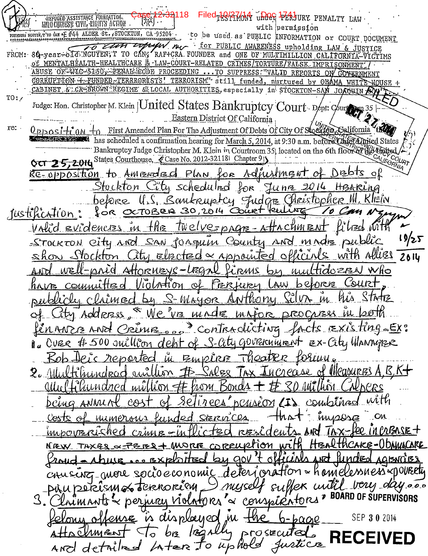REFUGED ASSISTANCE FOUNDATION.<br>INILO CULNES B CIVIL, RIQUITS ACTION 118 iled<sub>t</sub> QA76M under PERJURY PENALTY LAW with permission rounders Neuver, E'TO CAM \* E #44 ALDER St., STOCKTON, CA 95204. to be used as PUBLIC INFORMATION or COURT DOCUMENT Tropby Mer for PUBLIC AWARENESS upholding LAW & JUSTICE FROM: 80-year-old NGUYEN; T TO CAN, RAFICRA FOUNDER and ONE OF MULTIMILLION CALIFORNIA-VICTIMS OF MENTALHEALTH-HEALTHCARE & LAW-COURT-RELATED CRIMES/TORTURE/FALSE, IMPRISONMENT ABUSE OR WIC-5150, PENAL CODE PROCEEDING ... TO SUPPRESS: "VALID REPORTS ON GOVERNMENT CORRUPTION +-FUNDED-TERRRORISTS! TERRORISM" still funded, nurtured by OBAMA WHITE HOUSE + CABINET & CA-BROWN REGIME & LOCAL AUTHORITIES, especially in STOCKTON-SAN JOACUIN Judge: Hon. Christopher M. Klein | United States Bankruptcy Court Dept: Court TO: **Eastern District Of California** OPPOSI-t'0M-to First Amended Plan For The Adjustment Of Debts Of City Of Stock 60, Salifornia re: has scheduled a confirmation hearing for March 5, 2014, at 9:30 a.m. before the tarted States Bankruptcy Judge Christopher M. Klein in Courtroom 35, located on the 6th floor of the oppied Oct 25,2014 States Courthouse, Case No. 2012-321181 Chapter 91 Adjustment of RE-OPPOSition to Amended Plan for Debts  $\mathcal{L}_{OR}$ Stockton City scheduled Iunre U.S. Bankruptcy Judge Christopher belore for OCTOBER 30, 2014 Court Ruling *justification* Twelverprome <u>Volid Evidencies in</u>  $H_{\mathcal{B}}$ - atta  $19/25$ <u>SAN forgun County</u> STOCKTON City AND ANO Allies 2014  $e$ lected  $\propto$  Appointed Stockton City anid Attornievs-Lego .<br>Who PMS  $M\lambda$  $l_{l}^{*}$ Ferlyey AW Hrz a ∧rtim wthony  $S$ -*MAYOR* imen  $M_{\iota}$ We ve made **DROCUELS** itu Addeness <sup>3</sup> contradi facts Existing Ex: ctiva MANZE AND CRIME of S-City GOVERNMENt Ex-City WANNABR OVER #500 quillion de Theatr Empire reported of Measures A.B.K-PO Se hundrod  $\alpha i$ go TAX ENLICRS  $#$  hom  $w$  $v$ Bords Tion combined vitti unded  $CO<sub>4</sub>$ musose  $C<sub>M</sub>$ Steren mimer HEALTHCAKE-()DAHIATARE correuption **NEW** MORRE  $\mu$  aov 't o nriked **BXROTEd** sing more socio economic deterioration - hamelessness-orouseti myself suffex until very day 6 terenorism. upera **BOARD OF SUPERVISORS** s conspirators eriury violotors NMM is displayed in SEP 30 2014  $b - b \alpha \alpha$ osecuto  $301$ Justice AND detailed Later to uphold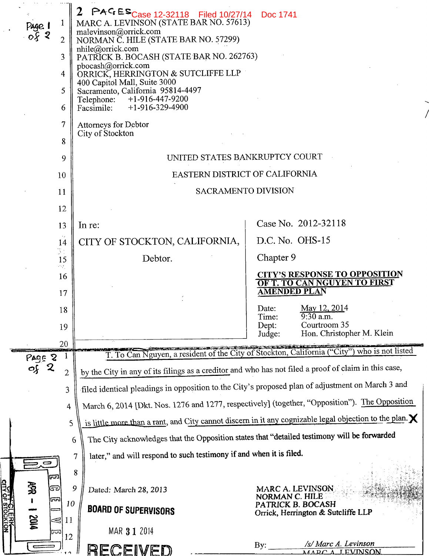|                                                       | 2 PAGES <sub>Case</sub> 12-32118 Filed 10/27/14 Doc 1741                                                |                                                                                                                             |  |  |  |  |
|-------------------------------------------------------|---------------------------------------------------------------------------------------------------------|-----------------------------------------------------------------------------------------------------------------------------|--|--|--|--|
| page 1<br>o <i>ş</i> 2                                | MARC A. LEVINSON (STATE BAR NO. 57613)<br>malevinson@orrick.com<br>NORMAN C. HILE (STATE BAR NO. 57299) |                                                                                                                             |  |  |  |  |
| $\overline{2}$                                        | nhile@orrick.com                                                                                        |                                                                                                                             |  |  |  |  |
| 3                                                     | PATRICK B. BOCASH (STATE BAR NO. 262763)<br>pbocash@orrick.com                                          |                                                                                                                             |  |  |  |  |
| 4                                                     | ORRICK, HERRINGTON & SUTCLIFFE LLP<br>400 Capitol Mall, Suite 3000                                      |                                                                                                                             |  |  |  |  |
| 5<br>6                                                | Sacramento, California 95814-4497<br>$+1-916-447-9200$<br>Telephone:<br>$+1-916-329-4900$<br>Facsimile: |                                                                                                                             |  |  |  |  |
| $\overline{7}$                                        | <b>Attorneys for Debtor</b><br>City of Stockton                                                         |                                                                                                                             |  |  |  |  |
| 8                                                     |                                                                                                         |                                                                                                                             |  |  |  |  |
| 9                                                     | UNITED STATES BANKRUPTCY COURT                                                                          |                                                                                                                             |  |  |  |  |
| 10                                                    | EASTERN DISTRICT OF CALIFORNIA                                                                          |                                                                                                                             |  |  |  |  |
| 11                                                    | <b>SACRAMENTO DIVISION</b>                                                                              |                                                                                                                             |  |  |  |  |
| 12                                                    |                                                                                                         |                                                                                                                             |  |  |  |  |
| 13                                                    | In re:                                                                                                  | Case No. 2012-32118                                                                                                         |  |  |  |  |
| 14<br>Ņ.                                              | CITY OF STOCKTON, CALIFORNIA,                                                                           | D.C. No. OHS-15                                                                                                             |  |  |  |  |
| 15<br>ήή,                                             | Debtor.                                                                                                 | Chapter 9                                                                                                                   |  |  |  |  |
| 16<br>17                                              |                                                                                                         | <b>CITY'S RESPONSE TO OPPOSITION</b><br>OF T. TO CAN NGUYEN TO FIRST<br><b>AMENDED PLAN</b>                                 |  |  |  |  |
| 18                                                    |                                                                                                         | May 12, 2014<br>Date:                                                                                                       |  |  |  |  |
| 19                                                    |                                                                                                         | 9:30 a.m<br>Time:<br>Courtroom 35<br>Dept:                                                                                  |  |  |  |  |
| 20                                                    |                                                                                                         | Hon. Christopher M. Klein<br>Judge:                                                                                         |  |  |  |  |
| Page 2                                                |                                                                                                         | T. To Can Nguyen, a resident of the City of Stockton, California ("City") who is not listed                                 |  |  |  |  |
| $\mathbf 2$<br>૦⊱<br>$\overline{2}$                   | by the City in any of its filings as a creditor and who has not filed a proof of claim in this case,    |                                                                                                                             |  |  |  |  |
| 3                                                     | filed identical pleadings in opposition to the City's proposed plan of adjustment on March 3 and        |                                                                                                                             |  |  |  |  |
| 4                                                     | March 6, 2014 [Dkt. Nos. 1276 and 1277, respectively] (together, "Opposition"). The Opposition          |                                                                                                                             |  |  |  |  |
|                                                       | 5                                                                                                       | is little more than a rant, and City cannot discern in it any cognizable legal objection to the plan. $\mathsf{\mathsf{X}}$ |  |  |  |  |
|                                                       | The City acknowledges that the Opposition states that "detailed testimony will be forwarded<br>6        |                                                                                                                             |  |  |  |  |
|                                                       | later," and will respond to such testimony if and when it is filed.<br>7                                |                                                                                                                             |  |  |  |  |
| لعنظا                                                 | 8                                                                                                       |                                                                                                                             |  |  |  |  |
| 勇<br>ತಾ                                               | 9<br>Dated: March 28, 2013                                                                              | MARC A. LEVINSON<br>NORMAN C. HILE                                                                                          |  |  |  |  |
| <u>OITT FOLEHK</u><br>OITY OF STOCKTON<br>দ্রনা<br>10 | <b>BOARD OF SUPERVISORS</b>                                                                             | PATRICK B. BOCASH<br>Orrick, Herrington & Sutcliffe LLP                                                                     |  |  |  |  |
| <b>MIQ</b><br>31<br>11<br>ಗಾ<br>12                    | MAR 3 1 2014                                                                                            |                                                                                                                             |  |  |  |  |
|                                                       | RECEIVED                                                                                                | /s/ Marc A. Levinson<br>By.<br>MARCA LEVINSON                                                                               |  |  |  |  |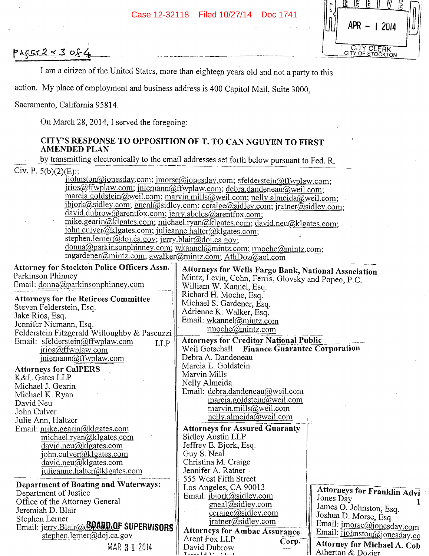

PAGES  $2 \times 3$  of 4

I am a citizen of the United States, more than eighteen years old and not a party to this

action. My place of employment and business address is 400 Capitol Mall, Suite 3000,

Sacramento, California *95814.* 

On March 28, 2014, I served the foregoing:

## **CITY'S RESPONSE TO OPPOSITION OF T. TO CAN NGUYEN TO FIRST AMENDED PLAN**

by transmitting electronically to the email addresses set forth below pursuant to Fed. R.

Civ. P.  $5(b)(2)(E)$ ::

ijohnston@jonesday.com; jmorse@jonesday.com; sfelderstein@ffwplaw.com; jrios@ffwplaw.com; jniemann@ffwplaw.com; debra.dandeneau@weil.com; marcia.goldstein@weil.com; marvin.mills@weil.com; nelly.almeida@weil.com; jbjork@sidley.com; gneal@sidley.com; ccraige@sidley.com; jratner@sidley.com; david.dubrow@arentfox.com; jerry.abeles@arentfox.com; mike.gearin@klgates.com; michael.ryan@klgates.com; david.neu@klgates.com; john.culver@klgates.com; julieanne.halter@klgates.com; stephen.lerner@doj.ca.gov; jerry.blair@doj.ca.gov; donna@parkinsonphinney.com; wkannel@mintz.com; rmoche@mintz.com; mgardener@mintz.com; awalker@mintz.com; AthDoz@aol.com **Attorneys for Wells Fargo Bank, National Association**  Mintz, Levin, Cohn, Ferris, Glovsky and Popeo, P.C. William W. Kannel, Esq. Richard H. Moche, Esq. Michael S. Gardener, Esq. Adrienne K. Walker, Esq. Email: wkannel@mintz.com rrnoche@mintz.com **Attorneys for Creditor National Public**  Weil Gotschall **Finance Guarantee Corporation** Debra A. Dandeneau Marcia L. Goldstein Marvin Mills Nelly Almeida Email: debra.dandeneau@weil.com marcia.goldstein $\overline{\omega}$ weil.com marvin.mills@weil.com nelly.almeida@weil.com **Attorneys for Assured Guaranty**  Sidley Austin LLP Jeffrey E. Bjork, Esq. Guy S. Neal Christina M. Craige Jennifer A. Ratner *555* West Fifth Street **kttorney for Stockton Police Officers Assn,**  Parkinson Phinney Email: donna@parkinsonphinney.com **Attorneys for the Retirees Committee**  Steven Felderstein, Esq. Jake Rios, Esq. Jennifer Niemann, Esq. Felderstein Fitzgerald Willoughby & Pascuzzi Email: sfelderstein@ffwplaw.com LLP jrios@ffwplaw.com  $j$ niemann $@$ ffwplaw.com **Attorneys for Ca1PERS**  K&L Gates LLP Michael J. Gearin Michael K. Ryan David Neu John Culver Julie Ann, Haltzer Email: mike.gearin@klgates.com michael.ryan@klgates.com david.neu@klgates.com  $john.culver@klgates.com$ david.neu@klgates.com julieanne.halter@klgates.com **Department of Boating and Waterways:** 

Department of Justice Office of the Attorney General Jeremiah D. Blair Stephen Lerner Email: jerry.Blair(@c<sup>ROARD</sup> OF SUPERVISORS stephen.lemer@doj.ca.gov MAR 31 2014

**Attorneys for Ambac Assurance**  Arent Fox LLP<br>David Dubrow **Corp.**<br>Attorney for Michael A. Cob

Los Angeles, CA 90013<br>
Email: <u>jbjork@sidley.com</u><br>
gneal@sidley.com I James O Johnston Face gneal@sidley.com <br>ccraige@sidley.com <br>Ill Joshua D. Morse, Esq. • ccraige(sidley.com II Joshua D. Morse, Esq. jratner(sidley.com III Email: jmorsejonesdy•0

Atherton & Dozier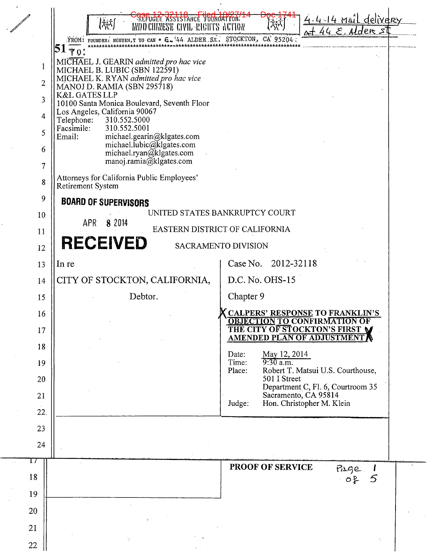|  |                                                                                                       | REFUGEE ASSISTANCE FOUNDATION.<br>(様)<br><b>INDO CHINESE CIVIL RIGHTS ACTION</b>                                  | delivery<br>lder s                                                                           |  |  |  |
|--|-------------------------------------------------------------------------------------------------------|-------------------------------------------------------------------------------------------------------------------|----------------------------------------------------------------------------------------------|--|--|--|
|  |                                                                                                       | FROM: FOUNDER: NGUYEN, T TO CAN * E. 44 ALDER St. STOCKTON, CA 95204                                              |                                                                                              |  |  |  |
|  | 1                                                                                                     |                                                                                                                   |                                                                                              |  |  |  |
|  | $\overline{2}$                                                                                        | MICHAEL J. GEARIN admitted pro hac vice<br>MICHAEL B. LUBIC (SBN 122591)<br>MICHAEL K. RYAN admitted pro hac vice |                                                                                              |  |  |  |
|  | 3                                                                                                     | MANOJ D. RAMIA (SBN 295718)<br><b>K&amp;L GATES LLP</b>                                                           |                                                                                              |  |  |  |
|  | 4                                                                                                     | 10100 Santa Monica Boulevard, Seventh Floor<br>Los Angeles, California 90067                                      |                                                                                              |  |  |  |
|  | 5                                                                                                     | Telephone:<br>310.552.5000<br>310.552.5001<br>Facsimile:<br>Email:                                                |                                                                                              |  |  |  |
|  | 6                                                                                                     | michael.gearin@klgates.com<br>michael.lubic@klgates.com<br>michael.ryan@klgates.com                               |                                                                                              |  |  |  |
|  | 7                                                                                                     | manoj.ramia@klgates.com                                                                                           |                                                                                              |  |  |  |
|  | 8                                                                                                     | Attorneys for California Public Employees'<br>Retirement System                                                   |                                                                                              |  |  |  |
|  | 9                                                                                                     | <b>BOARD OF SUPERVISORS</b>                                                                                       |                                                                                              |  |  |  |
|  | 10                                                                                                    |                                                                                                                   | UNITED STATES BANKRUPTCY COURT                                                               |  |  |  |
|  | 8 2014<br>APR<br>EASTERN DISTRICT OF CALIFORNIA<br>11<br><b>RECEIVED</b><br>SACRAMENTO DIVISION<br>12 |                                                                                                                   |                                                                                              |  |  |  |
|  |                                                                                                       |                                                                                                                   |                                                                                              |  |  |  |
|  | 13                                                                                                    | In re                                                                                                             | Case No. 2012-32118                                                                          |  |  |  |
|  | 14                                                                                                    | CITY OF STOCKTON, CALIFORNIA,                                                                                     | D.C. No. OHS-15                                                                              |  |  |  |
|  | 15                                                                                                    | Debtor.                                                                                                           | Chapter 9                                                                                    |  |  |  |
|  | 16                                                                                                    |                                                                                                                   | <b>CALPERS' RESPONSE TO FRANKLIN'S</b>                                                       |  |  |  |
|  | 17                                                                                                    |                                                                                                                   | <b>OBJECTION TO CONFIRMATION OF THE CITY OF STOCKTON'S FIRST WAMENDED PLAN OF ADJUSTMENT</b> |  |  |  |
|  | 18                                                                                                    |                                                                                                                   | May 12, 2014<br>9:30 a.m.<br>Date:                                                           |  |  |  |
|  | 19                                                                                                    |                                                                                                                   | Time:<br>Place:<br>Robert T. Matsui U.S. Courthouse,                                         |  |  |  |
|  | 20                                                                                                    |                                                                                                                   | 501 I Street<br>Department C, Fl. 6, Courtroom 35                                            |  |  |  |
|  | 21                                                                                                    |                                                                                                                   | Sacramento, CA 95814<br>Hon. Christopher M. Klein<br>Judge:                                  |  |  |  |
|  | 22.                                                                                                   |                                                                                                                   |                                                                                              |  |  |  |
|  | 23                                                                                                    |                                                                                                                   |                                                                                              |  |  |  |
|  | 24                                                                                                    |                                                                                                                   |                                                                                              |  |  |  |
|  | $\perp$<br>18                                                                                         |                                                                                                                   | PROOF OF SERVICE<br>$P_4$ $P_6$                                                              |  |  |  |
|  | 19                                                                                                    |                                                                                                                   | 5                                                                                            |  |  |  |
|  | 20                                                                                                    |                                                                                                                   |                                                                                              |  |  |  |
|  | 21                                                                                                    |                                                                                                                   |                                                                                              |  |  |  |
|  |                                                                                                       | Λŗ.                                                                                                               |                                                                                              |  |  |  |
|  | 22                                                                                                    |                                                                                                                   |                                                                                              |  |  |  |

 $\frac{1}{2}$ 

 $\cdot$  f

 $\sim$ 

ķ,

 $\mathbb{R}^2$  $\frac{1}{2}$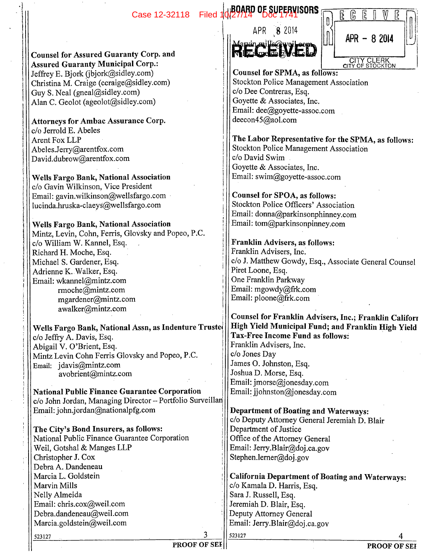Case 12-32118 Filed 10/27/14 Doc 1741 SORS



| Œ | ĥ             | E |  | 2<br>द |  |
|---|---------------|---|--|--------|--|
|   | $APR - 82014$ |   |  |        |  |
|   | CITY CLERK    |   |  |        |  |

**Counsel for SPMA, as follows:** Stockton Police Management Association c/o Dee Contreras, Esq. Goyette & Associates, Inc. Email: deegoyette-assoc.com deecon45@aol.com

**The Labor Representative for the SPMA, as follows:**  Stockton Police Management Association c/o David Swim Goyette & Associates, Inc. Email: swim@goyette-assoc.com

**Counsel for SPOA, as follows:**  Stockton Police Officers' Association Email: donna@parkinsonphinney.com Email: tom@parkinsonpinney.com

**Franklin Advisers, as follows:**  Franklin Advisers, Inc. c/o J. Matthew Gowdy, Esq., Associate General Counsel Piret Loone, Esq. One Franklin Parkway Email: mgowdy@frk.com Email: ploone@frk.com

**Counsel for Franklin Advisers, Inc.; Franklin Califorr High Yield Municipal Fund; and Franklin High Yield Tax-Free Income Fund as follows**  Franklin Advisers, Inc. c/o Jones Day James 0. Johnston, Esq. Joshua D. Morse, Esq. Email: jmorse@jonesday.com Email: jjohnston@jonesday.com

**Department of Boating and Waterways:**  c/o Deputy Attorney General Jeremiah D. Blair Department of Justice Office of the Attorney General Email: Jerry.Blair@doj.ca.gov Stephen.lemer@doj.gov

**California Department of Boating and Waterways:**  c/o Kamala D. Harris, Esq. Sara J. Russell, Esq. Jeremiah D. Blair, Esq. Deputy Attorney General Email: Jerry.Blair@doj.ca.gov

523127 **4** 

**Counsel for Assured Guaranty Corp. and Assured Guaranty Municipal Corp.:**  Jeffrey E. Bjork (jbjork@sidley.com) Christina M. Craige (ccraige $@s$ idley.com) Guy S. Neal (gneal@sidley.com) Alan C. Geolot (ageolot@sidley.com)

**Attorneys for Ambac Assurance Corp.**  do Jerrold **E.** Abeles Arent Fox LLP Abeles.Jerry@arentfox.com David.dubrow@arentfox.com

**Wells Fargo Bank, National Association**  c/o Gavin Wilkinson, Vice President Email: gavin.wilkinson@wellsfargo.com lucinda.hruska-claeys@wellsfargo.com

**Wells Fargo Bank, National Association**  Mintz, Levin, Cohn, Ferris, Glovsky and Popeo, P.C. c/o William W. Kannel, Esq. Richard H. Moche, Esq. Michael S. Gardener, Esq. Adrienne K. Walker, Esq. Email: wkannel@mintz.com rmoche@mintz.com mgardener@mintz.com awalker@mintz.com

**Wells Fargo Bank, National** Assn, as Indenture **Truste**  c/o Jeffry A. Davis, Esq. Abigail V. O'Brient, Esq. Mintz Levin Cohn Ferris Glovsky and Popeo, P.C. Email: jdavis@mintz.com avobrient@mintz.com

**National Public Finance Guarantee Corporation**  c/o John Jordan, Managing Director - Portfolio Surveillan Email: john.jordan@nationalpfg.com

**The City's Bond Insurers,** as follows: National Public Finance Guarantee Corporation Weil, Gotshal & Manges LLP Christopher J. Cox Debra A. Dandeneau Marcia L. Goldstein Marvin Mills Nelly Almeida Email: chris.cox@weil.com Debra.dandeneau@weil.com Marcia.goldstein@weil.com

523127 **3**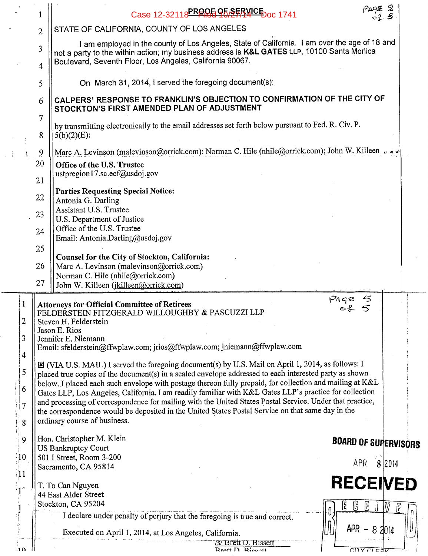|                                                                         |                | Case 12-32118 PRODE 95 25 25 40 Case 1741                                                                                                                                                                                                                                                                                                                                                                                                                                                                                                                                                                                                                                                                                      | $P_49$ $E$ 2<br>$\circ$ $\downarrow$ $\circ$ |        |  |  |  |  |
|-------------------------------------------------------------------------|----------------|--------------------------------------------------------------------------------------------------------------------------------------------------------------------------------------------------------------------------------------------------------------------------------------------------------------------------------------------------------------------------------------------------------------------------------------------------------------------------------------------------------------------------------------------------------------------------------------------------------------------------------------------------------------------------------------------------------------------------------|----------------------------------------------|--------|--|--|--|--|
|                                                                         | $\overline{2}$ | STATE OF CALIFORNIA, COUNTY OF LOS ANGELES                                                                                                                                                                                                                                                                                                                                                                                                                                                                                                                                                                                                                                                                                     |                                              |        |  |  |  |  |
|                                                                         | 3<br>4         | I am employed in the county of Los Angeles, State of California. I am over the age of 18 and<br>not a party to the within action; my business address is K&L GATES LLP, 10100 Santa Monica<br>Boulevard, Seventh Floor, Los Angeles, California 90067.                                                                                                                                                                                                                                                                                                                                                                                                                                                                         |                                              |        |  |  |  |  |
|                                                                         | 5              | On March 31, 2014, I served the foregoing document(s):                                                                                                                                                                                                                                                                                                                                                                                                                                                                                                                                                                                                                                                                         |                                              |        |  |  |  |  |
|                                                                         | 6              | CALPERS' RESPONSE TO FRANKLIN'S OBJECTION TO CONFIRMATION OF THE CITY OF<br>STOCKTON'S FIRST AMENDED PLAN OF ADJUSTMENT                                                                                                                                                                                                                                                                                                                                                                                                                                                                                                                                                                                                        |                                              |        |  |  |  |  |
|                                                                         | 7<br>8         | by transmitting electronically to the email addresses set forth below pursuant to Fed. R. Civ. P.<br>$5(b)(2)(E)$ :                                                                                                                                                                                                                                                                                                                                                                                                                                                                                                                                                                                                            |                                              |        |  |  |  |  |
|                                                                         | 9              | Marc A. Levinson (malevinson@orrick.com); Norman C. Hile (nhile@orrick.com); John W. Killeen $\circ \bullet \bullet$                                                                                                                                                                                                                                                                                                                                                                                                                                                                                                                                                                                                           |                                              |        |  |  |  |  |
| 20<br>Office of the U.S. Trustee<br>ustpregion17.sc.ecf@usdoj.gov<br>21 |                |                                                                                                                                                                                                                                                                                                                                                                                                                                                                                                                                                                                                                                                                                                                                |                                              |        |  |  |  |  |
|                                                                         | 22             | <b>Parties Requesting Special Notice:</b><br>Antonia G. Darling                                                                                                                                                                                                                                                                                                                                                                                                                                                                                                                                                                                                                                                                |                                              |        |  |  |  |  |
|                                                                         | 23             | Assistant U.S. Trustee<br>U.S. Department of Justice                                                                                                                                                                                                                                                                                                                                                                                                                                                                                                                                                                                                                                                                           |                                              |        |  |  |  |  |
|                                                                         | 24             | Office of the U.S. Trustee<br>Email: Antonia.Darling@usdoj.gov                                                                                                                                                                                                                                                                                                                                                                                                                                                                                                                                                                                                                                                                 |                                              |        |  |  |  |  |
|                                                                         | 25             | Counsel for the City of Stockton, California:                                                                                                                                                                                                                                                                                                                                                                                                                                                                                                                                                                                                                                                                                  |                                              |        |  |  |  |  |
|                                                                         | 26             | Marc A. Levinson (malevinson@orrick.com)<br>Norman C. Hile (nhile@orrick.com)                                                                                                                                                                                                                                                                                                                                                                                                                                                                                                                                                                                                                                                  |                                              |        |  |  |  |  |
|                                                                         | 27             | John W. Killeen (jkilleen@orrick.com)                                                                                                                                                                                                                                                                                                                                                                                                                                                                                                                                                                                                                                                                                          |                                              |        |  |  |  |  |
| $\overline{c}$<br>3                                                     |                | $P_4$ qe<br><b>Attorneys for Official Committee of Retirees</b><br>FELDERSTEIN FITZGERALD WILLOUGHBY & PASCUZZI LLP<br>Steven H. Felderstein<br>Jason E. Rios<br>Jennifer E. Niemann                                                                                                                                                                                                                                                                                                                                                                                                                                                                                                                                           |                                              |        |  |  |  |  |
| $\overline{\mathcal{A}}$<br>5<br>6<br>$\overline{7}$                    |                | Email: sfelderstein@ffwplaw.com; jrios@ffwplaw.com; jniemann@ffwplaw.com<br>X (VIA U.S. MAIL) I served the foregoing document(s) by U.S. Mail on April 1, 2014, as follows: I<br>placed true copies of the document(s) in a sealed envelope addressed to each interested party as shown<br>below. I placed each such envelope with postage thereon fully prepaid, for collection and mailing at K&L<br>Gates LLP, Los Angeles, California. I am readily familiar with K&L Gates LLP's practice for collection<br>and processing of correspondence for mailing with the United States Postal Service. Under that practice,<br>the correspondence would be deposited in the United States Postal Service on that same day in the |                                              |        |  |  |  |  |
| 8                                                                       |                | ordinary course of business.                                                                                                                                                                                                                                                                                                                                                                                                                                                                                                                                                                                                                                                                                                   |                                              |        |  |  |  |  |
| 9                                                                       |                | Hon. Christopher M. Klein<br><b>US Bankruptcy Court</b>                                                                                                                                                                                                                                                                                                                                                                                                                                                                                                                                                                                                                                                                        | <b>BOARD OF SUPERVISORS</b>                  |        |  |  |  |  |
| $\mathfrak{g}$<br>$\frac{1}{2}$                                         |                | 501 I Street, Room 3-200<br>Sacramento, CA 95814                                                                                                                                                                                                                                                                                                                                                                                                                                                                                                                                                                                                                                                                               | APR                                          | 8 2014 |  |  |  |  |
|                                                                         |                | T. To Can Nguyen<br>44 East Alder Street                                                                                                                                                                                                                                                                                                                                                                                                                                                                                                                                                                                                                                                                                       | <b>RECEIVED</b>                              |        |  |  |  |  |
|                                                                         |                | Stockton, CA 95204<br>Ŀ                                                                                                                                                                                                                                                                                                                                                                                                                                                                                                                                                                                                                                                                                                        | E<br>ြ                                       | M      |  |  |  |  |
| រ1 ೧                                                                    |                | I declare under penalty of perjury that the foregoing is true and correct.<br>Executed on April 1, 2014, at Los Angeles, California.<br>/s/ Brett D. Bissett<br>$R_{\text{ref}}$ $\overline{R}_{\text{iscent}}$                                                                                                                                                                                                                                                                                                                                                                                                                                                                                                                | $APR - 82014$<br><b>CITA ULERA</b>           |        |  |  |  |  |